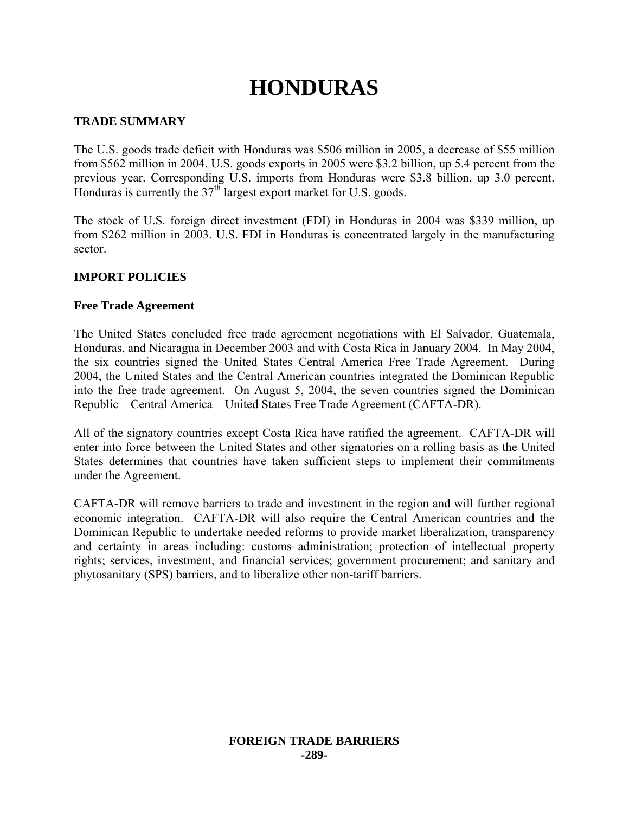# **HONDURAS**

# **TRADE SUMMARY**

The U.S. goods trade deficit with Honduras was \$506 million in 2005, a decrease of \$55 million from \$562 million in 2004. U.S. goods exports in 2005 were \$3.2 billion, up 5.4 percent from the previous year. Corresponding U.S. imports from Honduras were \$3.8 billion, up 3.0 percent. Honduras is currently the  $37<sup>th</sup>$  largest export market for U.S. goods.

The stock of U.S. foreign direct investment (FDI) in Honduras in 2004 was \$339 million, up from \$262 million in 2003. U.S. FDI in Honduras is concentrated largely in the manufacturing sector.

## **IMPORT POLICIES**

## **Free Trade Agreement**

The United States concluded free trade agreement negotiations with El Salvador, Guatemala, Honduras, and Nicaragua in December 2003 and with Costa Rica in January 2004. In May 2004, the six countries signed the United States–Central America Free Trade Agreement. During 2004, the United States and the Central American countries integrated the Dominican Republic into the free trade agreement. On August 5, 2004, the seven countries signed the Dominican Republic – Central America – United States Free Trade Agreement (CAFTA-DR).

All of the signatory countries except Costa Rica have ratified the agreement. CAFTA-DR will enter into force between the United States and other signatories on a rolling basis as the United States determines that countries have taken sufficient steps to implement their commitments under the Agreement.

CAFTA-DR will remove barriers to trade and investment in the region and will further regional economic integration. CAFTA-DR will also require the Central American countries and the Dominican Republic to undertake needed reforms to provide market liberalization, transparency and certainty in areas including: customs administration; protection of intellectual property rights; services, investment, and financial services; government procurement; and sanitary and phytosanitary (SPS) barriers, and to liberalize other non-tariff barriers.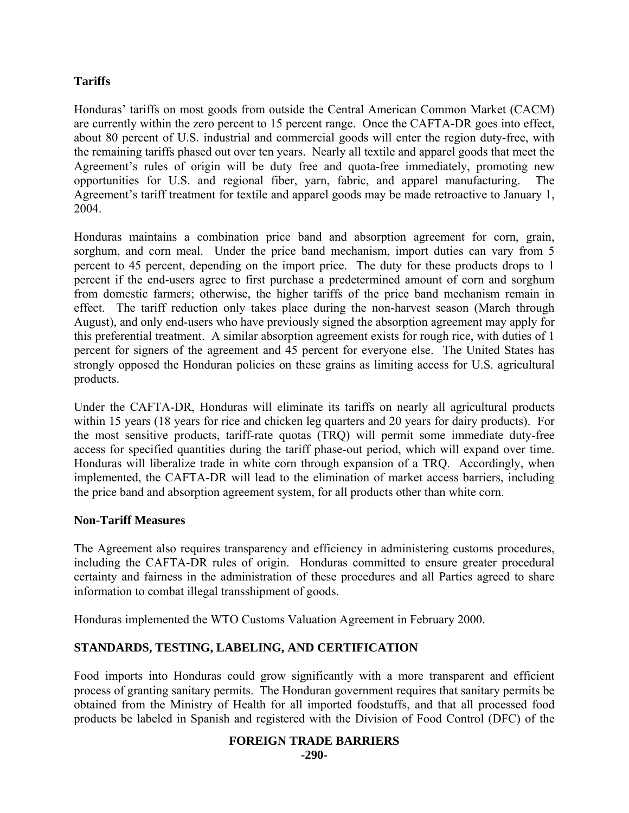# **Tariffs**

Honduras' tariffs on most goods from outside the Central American Common Market (CACM) are currently within the zero percent to 15 percent range. Once the CAFTA-DR goes into effect, about 80 percent of U.S. industrial and commercial goods will enter the region duty-free, with the remaining tariffs phased out over ten years. Nearly all textile and apparel goods that meet the Agreement's rules of origin will be duty free and quota-free immediately, promoting new opportunities for U.S. and regional fiber, yarn, fabric, and apparel manufacturing. The Agreement's tariff treatment for textile and apparel goods may be made retroactive to January 1, 2004.

Honduras maintains a combination price band and absorption agreement for corn, grain, sorghum, and corn meal. Under the price band mechanism, import duties can vary from 5 percent to 45 percent, depending on the import price. The duty for these products drops to 1 percent if the end-users agree to first purchase a predetermined amount of corn and sorghum from domestic farmers; otherwise, the higher tariffs of the price band mechanism remain in effect. The tariff reduction only takes place during the non-harvest season (March through August), and only end-users who have previously signed the absorption agreement may apply for this preferential treatment. A similar absorption agreement exists for rough rice, with duties of 1 percent for signers of the agreement and 45 percent for everyone else. The United States has strongly opposed the Honduran policies on these grains as limiting access for U.S. agricultural products.

Under the CAFTA-DR, Honduras will eliminate its tariffs on nearly all agricultural products within 15 years (18 years for rice and chicken leg quarters and 20 years for dairy products). For the most sensitive products, tariff-rate quotas (TRQ) will permit some immediate duty-free access for specified quantities during the tariff phase-out period, which will expand over time. Honduras will liberalize trade in white corn through expansion of a TRQ. Accordingly, when implemented, the CAFTA-DR will lead to the elimination of market access barriers, including the price band and absorption agreement system, for all products other than white corn.

## **Non-Tariff Measures**

The Agreement also requires transparency and efficiency in administering customs procedures, including the CAFTA-DR rules of origin. Honduras committed to ensure greater procedural certainty and fairness in the administration of these procedures and all Parties agreed to share information to combat illegal transshipment of goods.

Honduras implemented the WTO Customs Valuation Agreement in February 2000.

# **STANDARDS, TESTING, LABELING, AND CERTIFICATION**

Food imports into Honduras could grow significantly with a more transparent and efficient process of granting sanitary permits. The Honduran government requires that sanitary permits be obtained from the Ministry of Health for all imported foodstuffs, and that all processed food products be labeled in Spanish and registered with the Division of Food Control (DFC) of the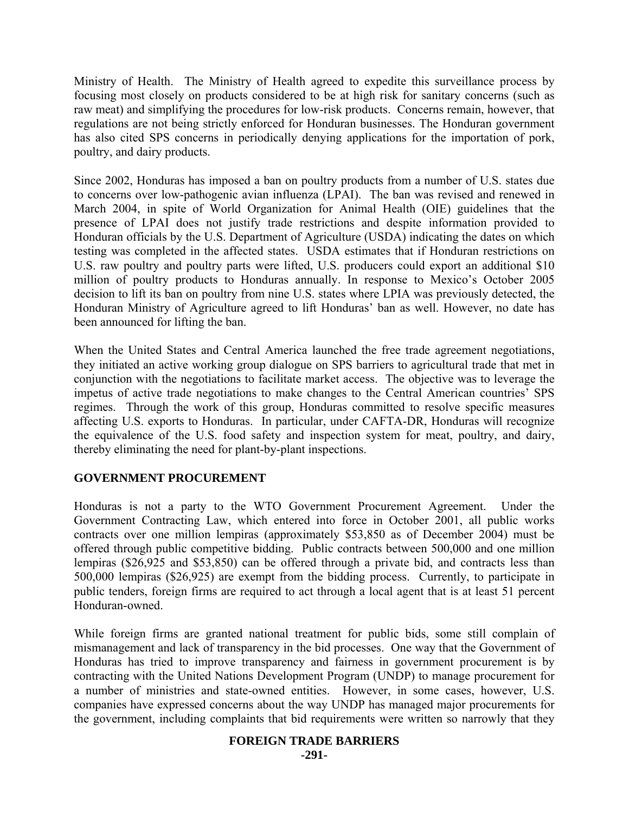Ministry of Health. The Ministry of Health agreed to expedite this surveillance process by focusing most closely on products considered to be at high risk for sanitary concerns (such as raw meat) and simplifying the procedures for low-risk products. Concerns remain, however, that regulations are not being strictly enforced for Honduran businesses. The Honduran government has also cited SPS concerns in periodically denying applications for the importation of pork, poultry, and dairy products.

Since 2002, Honduras has imposed a ban on poultry products from a number of U.S. states due to concerns over low-pathogenic avian influenza (LPAI). The ban was revised and renewed in March 2004, in spite of World Organization for Animal Health (OIE) guidelines that the presence of LPAI does not justify trade restrictions and despite information provided to Honduran officials by the U.S. Department of Agriculture (USDA) indicating the dates on which testing was completed in the affected states. USDA estimates that if Honduran restrictions on U.S. raw poultry and poultry parts were lifted, U.S. producers could export an additional \$10 million of poultry products to Honduras annually. In response to Mexico's October 2005 decision to lift its ban on poultry from nine U.S. states where LPIA was previously detected, the Honduran Ministry of Agriculture agreed to lift Honduras' ban as well. However, no date has been announced for lifting the ban.

When the United States and Central America launched the free trade agreement negotiations, they initiated an active working group dialogue on SPS barriers to agricultural trade that met in conjunction with the negotiations to facilitate market access. The objective was to leverage the impetus of active trade negotiations to make changes to the Central American countries' SPS regimes. Through the work of this group, Honduras committed to resolve specific measures affecting U.S. exports to Honduras. In particular, under CAFTA-DR, Honduras will recognize the equivalence of the U.S. food safety and inspection system for meat, poultry, and dairy, thereby eliminating the need for plant-by-plant inspections.

## **GOVERNMENT PROCUREMENT**

Honduras is not a party to the WTO Government Procurement Agreement. Under the Government Contracting Law, which entered into force in October 2001, all public works contracts over one million lempiras (approximately \$53,850 as of December 2004) must be offered through public competitive bidding. Public contracts between 500,000 and one million lempiras (\$26,925 and \$53,850) can be offered through a private bid, and contracts less than 500,000 lempiras (\$26,925) are exempt from the bidding process. Currently, to participate in public tenders, foreign firms are required to act through a local agent that is at least 51 percent Honduran-owned.

While foreign firms are granted national treatment for public bids, some still complain of mismanagement and lack of transparency in the bid processes. One way that the Government of Honduras has tried to improve transparency and fairness in government procurement is by contracting with the United Nations Development Program (UNDP) to manage procurement for a number of ministries and state-owned entities. However, in some cases, however, U.S. companies have expressed concerns about the way UNDP has managed major procurements for the government, including complaints that bid requirements were written so narrowly that they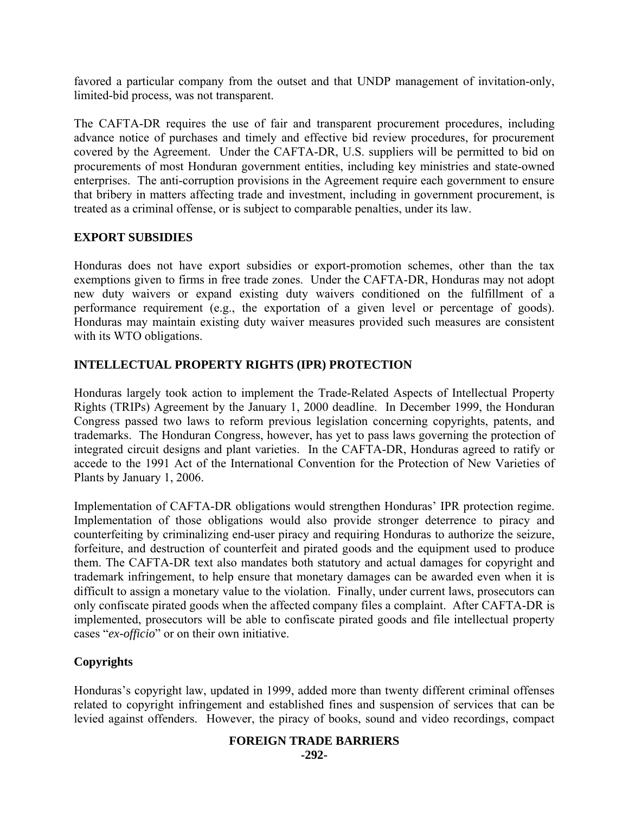favored a particular company from the outset and that UNDP management of invitation-only, limited-bid process, was not transparent.

The CAFTA-DR requires the use of fair and transparent procurement procedures, including advance notice of purchases and timely and effective bid review procedures, for procurement covered by the Agreement. Under the CAFTA-DR, U.S. suppliers will be permitted to bid on procurements of most Honduran government entities, including key ministries and state-owned enterprises. The anti-corruption provisions in the Agreement require each government to ensure that bribery in matters affecting trade and investment, including in government procurement, is treated as a criminal offense, or is subject to comparable penalties, under its law.

## **EXPORT SUBSIDIES**

Honduras does not have export subsidies or export-promotion schemes, other than the tax exemptions given to firms in free trade zones. Under the CAFTA-DR, Honduras may not adopt new duty waivers or expand existing duty waivers conditioned on the fulfillment of a performance requirement (e.g., the exportation of a given level or percentage of goods). Honduras may maintain existing duty waiver measures provided such measures are consistent with its WTO obligations.

# **INTELLECTUAL PROPERTY RIGHTS (IPR) PROTECTION**

Honduras largely took action to implement the Trade-Related Aspects of Intellectual Property Rights (TRIPs) Agreement by the January 1, 2000 deadline. In December 1999, the Honduran Congress passed two laws to reform previous legislation concerning copyrights, patents, and trademarks. The Honduran Congress, however, has yet to pass laws governing the protection of integrated circuit designs and plant varieties. In the CAFTA-DR, Honduras agreed to ratify or accede to the 1991 Act of the International Convention for the Protection of New Varieties of Plants by January 1, 2006.

Implementation of CAFTA-DR obligations would strengthen Honduras' IPR protection regime. Implementation of those obligations would also provide stronger deterrence to piracy and counterfeiting by criminalizing end-user piracy and requiring Honduras to authorize the seizure, forfeiture, and destruction of counterfeit and pirated goods and the equipment used to produce them. The CAFTA-DR text also mandates both statutory and actual damages for copyright and trademark infringement, to help ensure that monetary damages can be awarded even when it is difficult to assign a monetary value to the violation. Finally, under current laws, prosecutors can only confiscate pirated goods when the affected company files a complaint. After CAFTA-DR is implemented, prosecutors will be able to confiscate pirated goods and file intellectual property cases "*ex-officio*" or on their own initiative.

## **Copyrights**

Honduras's copyright law, updated in 1999, added more than twenty different criminal offenses related to copyright infringement and established fines and suspension of services that can be levied against offenders. However, the piracy of books, sound and video recordings, compact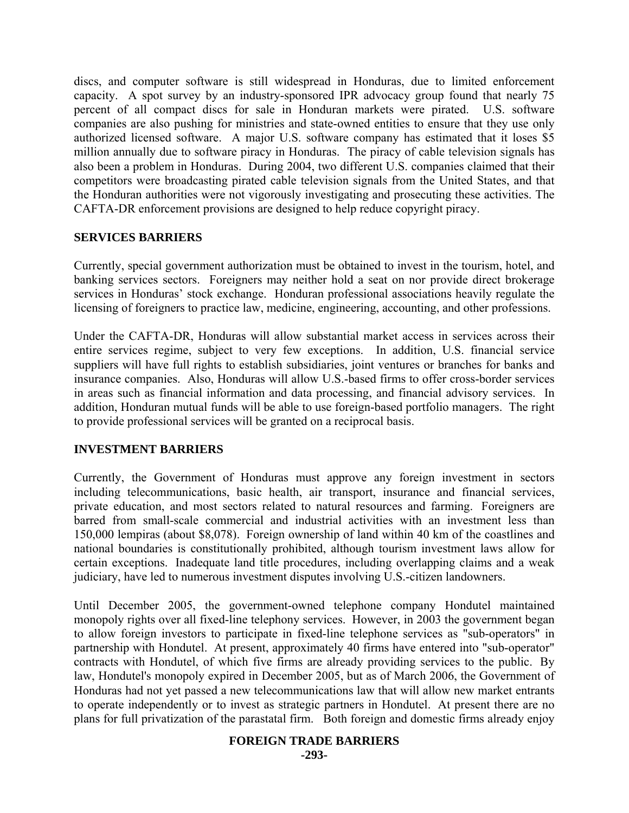discs, and computer software is still widespread in Honduras, due to limited enforcement capacity. A spot survey by an industry-sponsored IPR advocacy group found that nearly 75 percent of all compact discs for sale in Honduran markets were pirated. U.S. software companies are also pushing for ministries and state-owned entities to ensure that they use only authorized licensed software. A major U.S. software company has estimated that it loses \$5 million annually due to software piracy in Honduras. The piracy of cable television signals has also been a problem in Honduras. During 2004, two different U.S. companies claimed that their competitors were broadcasting pirated cable television signals from the United States, and that the Honduran authorities were not vigorously investigating and prosecuting these activities. The CAFTA-DR enforcement provisions are designed to help reduce copyright piracy.

#### **SERVICES BARRIERS**

Currently, special government authorization must be obtained to invest in the tourism, hotel, and banking services sectors. Foreigners may neither hold a seat on nor provide direct brokerage services in Honduras' stock exchange. Honduran professional associations heavily regulate the licensing of foreigners to practice law, medicine, engineering, accounting, and other professions.

Under the CAFTA-DR, Honduras will allow substantial market access in services across their entire services regime, subject to very few exceptions. In addition, U.S. financial service suppliers will have full rights to establish subsidiaries, joint ventures or branches for banks and insurance companies. Also, Honduras will allow U.S.-based firms to offer cross-border services in areas such as financial information and data processing, and financial advisory services. In addition, Honduran mutual funds will be able to use foreign-based portfolio managers. The right to provide professional services will be granted on a reciprocal basis.

#### **INVESTMENT BARRIERS**

Currently, the Government of Honduras must approve any foreign investment in sectors including telecommunications, basic health, air transport, insurance and financial services, private education, and most sectors related to natural resources and farming. Foreigners are barred from small-scale commercial and industrial activities with an investment less than 150,000 lempiras (about \$8,078). Foreign ownership of land within 40 km of the coastlines and national boundaries is constitutionally prohibited, although tourism investment laws allow for certain exceptions. Inadequate land title procedures, including overlapping claims and a weak judiciary, have led to numerous investment disputes involving U.S.-citizen landowners.

Until December 2005, the government-owned telephone company Hondutel maintained monopoly rights over all fixed-line telephony services. However, in 2003 the government began to allow foreign investors to participate in fixed-line telephone services as "sub-operators" in partnership with Hondutel. At present, approximately 40 firms have entered into "sub-operator" contracts with Hondutel, of which five firms are already providing services to the public. By law, Hondutel's monopoly expired in December 2005, but as of March 2006, the Government of Honduras had not yet passed a new telecommunications law that will allow new market entrants to operate independently or to invest as strategic partners in Hondutel. At present there are no plans for full privatization of the parastatal firm. Both foreign and domestic firms already enjoy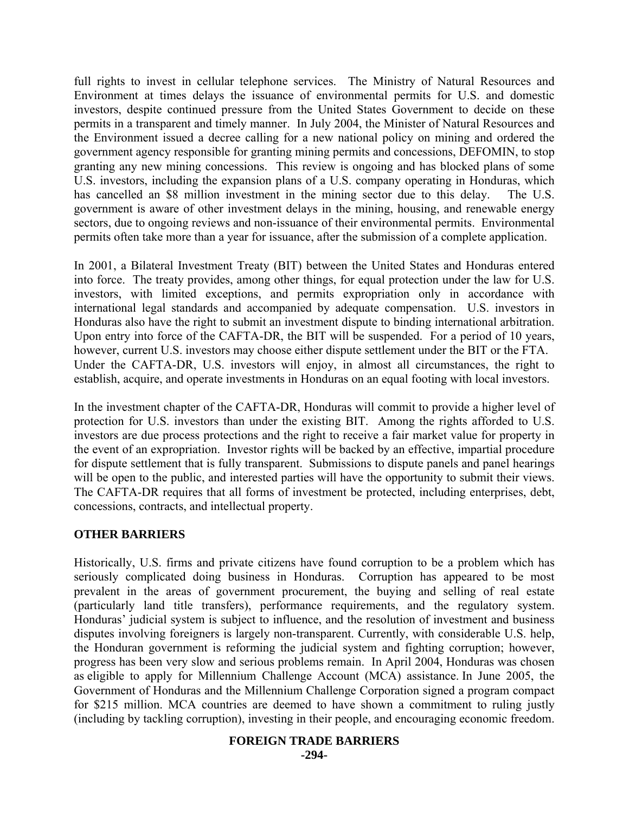full rights to invest in cellular telephone services. The Ministry of Natural Resources and Environment at times delays the issuance of environmental permits for U.S. and domestic investors, despite continued pressure from the United States Government to decide on these permits in a transparent and timely manner. In July 2004, the Minister of Natural Resources and the Environment issued a decree calling for a new national policy on mining and ordered the government agency responsible for granting mining permits and concessions, DEFOMIN, to stop granting any new mining concessions. This review is ongoing and has blocked plans of some U.S. investors, including the expansion plans of a U.S. company operating in Honduras, which has cancelled an \$8 million investment in the mining sector due to this delay. The U.S. government is aware of other investment delays in the mining, housing, and renewable energy sectors, due to ongoing reviews and non-issuance of their environmental permits. Environmental permits often take more than a year for issuance, after the submission of a complete application.

In 2001, a Bilateral Investment Treaty (BIT) between the United States and Honduras entered into force. The treaty provides, among other things, for equal protection under the law for U.S. investors, with limited exceptions, and permits expropriation only in accordance with international legal standards and accompanied by adequate compensation. U.S. investors in Honduras also have the right to submit an investment dispute to binding international arbitration. Upon entry into force of the CAFTA-DR, the BIT will be suspended. For a period of 10 years, however, current U.S. investors may choose either dispute settlement under the BIT or the FTA. Under the CAFTA-DR, U.S. investors will enjoy, in almost all circumstances, the right to establish, acquire, and operate investments in Honduras on an equal footing with local investors.

In the investment chapter of the CAFTA-DR, Honduras will commit to provide a higher level of protection for U.S. investors than under the existing BIT. Among the rights afforded to U.S. investors are due process protections and the right to receive a fair market value for property in the event of an expropriation. Investor rights will be backed by an effective, impartial procedure for dispute settlement that is fully transparent. Submissions to dispute panels and panel hearings will be open to the public, and interested parties will have the opportunity to submit their views. The CAFTA-DR requires that all forms of investment be protected, including enterprises, debt, concessions, contracts, and intellectual property.

#### **OTHER BARRIERS**

Historically, U.S. firms and private citizens have found corruption to be a problem which has seriously complicated doing business in Honduras. Corruption has appeared to be most prevalent in the areas of government procurement, the buying and selling of real estate (particularly land title transfers), performance requirements, and the regulatory system. Honduras' judicial system is subject to influence, and the resolution of investment and business disputes involving foreigners is largely non-transparent. Currently, with considerable U.S. help, the Honduran government is reforming the judicial system and fighting corruption; however, progress has been very slow and serious problems remain. In April 2004, Honduras was chosen as eligible to apply for Millennium Challenge Account (MCA) assistance. In June 2005, the Government of Honduras and the Millennium Challenge Corporation signed a program compact for \$215 million. MCA countries are deemed to have shown a commitment to ruling justly (including by tackling corruption), investing in their people, and encouraging economic freedom.